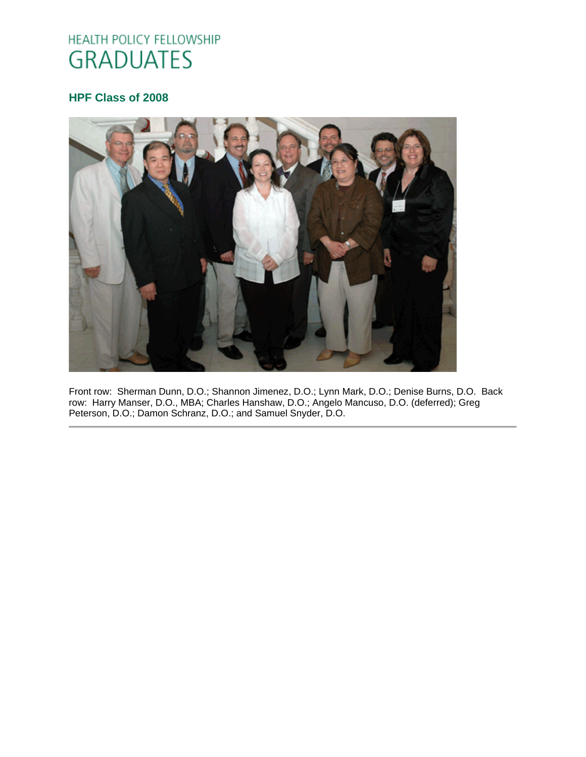# HEALTH POLICY FELLOWSHIP **GRADUATES**

## **HPF Class of 2008**



Front row: Sherman Dunn, D.O.; Shannon Jimenez, D.O.; Lynn Mark, D.O.; Denise Burns, D.O. Back row: Harry Manser, D.O., MBA; Charles Hanshaw, D.O.; Angelo Mancuso, D.O. (deferred); Greg Peterson, D.O.; Damon Schranz, D.O.; and Samuel Snyder, D.O.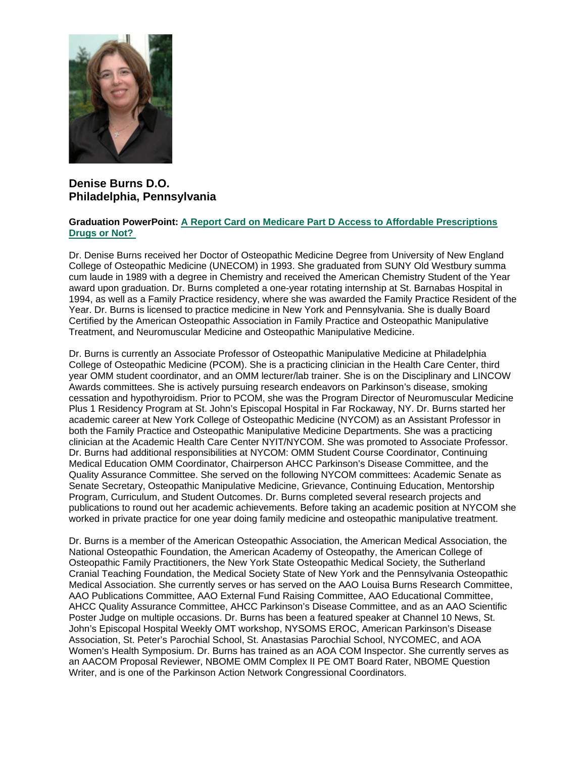

## **Denise Burns D.O. Philadelphia, Pennsylvania**

### **Graduation PowerPoint: [A Report Card on Medicare Part D Access to Affordable Prescriptions](https://ohio.box.com/s/3c912nx3nwxxs6os6pesrng4nu1lr6vf)  [Drugs or Not?](https://ohio.box.com/s/3c912nx3nwxxs6os6pesrng4nu1lr6vf)**

Dr. Denise Burns received her Doctor of Osteopathic Medicine Degree from University of New England College of Osteopathic Medicine (UNECOM) in 1993. She graduated from SUNY Old Westbury summa cum laude in 1989 with a degree in Chemistry and received the American Chemistry Student of the Year award upon graduation. Dr. Burns completed a one-year rotating internship at St. Barnabas Hospital in 1994, as well as a Family Practice residency, where she was awarded the Family Practice Resident of the Year. Dr. Burns is licensed to practice medicine in New York and Pennsylvania. She is dually Board Certified by the American Osteopathic Association in Family Practice and Osteopathic Manipulative Treatment, and Neuromuscular Medicine and Osteopathic Manipulative Medicine.

Dr. Burns is currently an Associate Professor of Osteopathic Manipulative Medicine at Philadelphia College of Osteopathic Medicine (PCOM). She is a practicing clinician in the Health Care Center, third year OMM student coordinator, and an OMM lecturer/lab trainer. She is on the Disciplinary and LINCOW Awards committees. She is actively pursuing research endeavors on Parkinson's disease, smoking cessation and hypothyroidism. Prior to PCOM, she was the Program Director of Neuromuscular Medicine Plus 1 Residency Program at St. John's Episcopal Hospital in Far Rockaway, NY. Dr. Burns started her academic career at New York College of Osteopathic Medicine (NYCOM) as an Assistant Professor in both the Family Practice and Osteopathic Manipulative Medicine Departments. She was a practicing clinician at the Academic Health Care Center NYIT/NYCOM. She was promoted to Associate Professor. Dr. Burns had additional responsibilities at NYCOM: OMM Student Course Coordinator, Continuing Medical Education OMM Coordinator, Chairperson AHCC Parkinson's Disease Committee, and the Quality Assurance Committee. She served on the following NYCOM committees: Academic Senate as Senate Secretary, Osteopathic Manipulative Medicine, Grievance, Continuing Education, Mentorship Program, Curriculum, and Student Outcomes. Dr. Burns completed several research projects and publications to round out her academic achievements. Before taking an academic position at NYCOM she worked in private practice for one year doing family medicine and osteopathic manipulative treatment.

Dr. Burns is a member of the American Osteopathic Association, the American Medical Association, the National Osteopathic Foundation, the American Academy of Osteopathy, the American College of Osteopathic Family Practitioners, the New York State Osteopathic Medical Society, the Sutherland Cranial Teaching Foundation, the Medical Society State of New York and the Pennsylvania Osteopathic Medical Association. She currently serves or has served on the AAO Louisa Burns Research Committee, AAO Publications Committee, AAO External Fund Raising Committee, AAO Educational Committee, AHCC Quality Assurance Committee, AHCC Parkinson's Disease Committee, and as an AAO Scientific Poster Judge on multiple occasions. Dr. Burns has been a featured speaker at Channel 10 News, St. John's Episcopal Hospital Weekly OMT workshop, NYSOMS EROC, American Parkinson's Disease Association, St. Peter's Parochial School, St. Anastasias Parochial School, NYCOMEC, and AOA Women's Health Symposium. Dr. Burns has trained as an AOA COM Inspector. She currently serves as an AACOM Proposal Reviewer, NBOME OMM Complex II PE OMT Board Rater, NBOME Question Writer, and is one of the Parkinson Action Network Congressional Coordinators.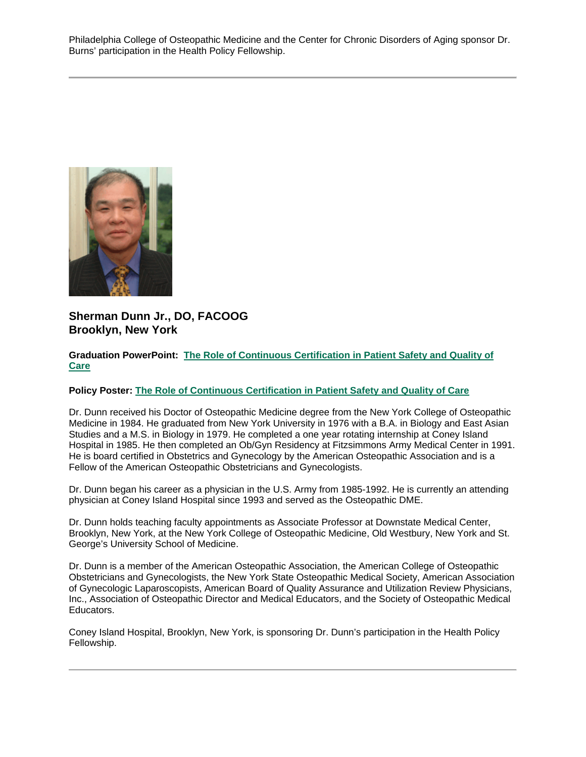Philadelphia College of Osteopathic Medicine and the Center for Chronic Disorders of Aging sponsor Dr. Burns' participation in the Health Policy Fellowship.



## **Sherman Dunn Jr., DO, FACOOG Brooklyn, New York**

## **Graduation PowerPoint: [The Role of Continuous Certification in Patient Safety and Quality of](https://ohio.box.com/s/hm4l7h9nenxgcco90u2owod1re1dc3bw)  [Care](https://ohio.box.com/s/hm4l7h9nenxgcco90u2owod1re1dc3bw)**

## **Policy Poster: [The Role of Continuous Certification in Patient Safety and Quality of Care](https://ohio.box.com/s/a0c4afdh3w5yhrsbsgt4j1tkm7a62lv7)**

Dr. Dunn received his Doctor of Osteopathic Medicine degree from the New York College of Osteopathic Medicine in 1984. He graduated from New York University in 1976 with a B.A. in Biology and East Asian Studies and a M.S. in Biology in 1979. He completed a one year rotating internship at Coney Island Hospital in 1985. He then completed an Ob/Gyn Residency at Fitzsimmons Army Medical Center in 1991. He is board certified in Obstetrics and Gynecology by the American Osteopathic Association and is a Fellow of the American Osteopathic Obstetricians and Gynecologists.

Dr. Dunn began his career as a physician in the U.S. Army from 1985-1992. He is currently an attending physician at Coney Island Hospital since 1993 and served as the Osteopathic DME.

Dr. Dunn holds teaching faculty appointments as Associate Professor at Downstate Medical Center, Brooklyn, New York, at the New York College of Osteopathic Medicine, Old Westbury, New York and St. George's University School of Medicine.

Dr. Dunn is a member of the American Osteopathic Association, the American College of Osteopathic Obstetricians and Gynecologists, the New York State Osteopathic Medical Society, American Association of Gynecologic Laparoscopists, American Board of Quality Assurance and Utilization Review Physicians, Inc., Association of Osteopathic Director and Medical Educators, and the Society of Osteopathic Medical Educators.

Coney Island Hospital, Brooklyn, New York, is sponsoring Dr. Dunn's participation in the Health Policy Fellowship.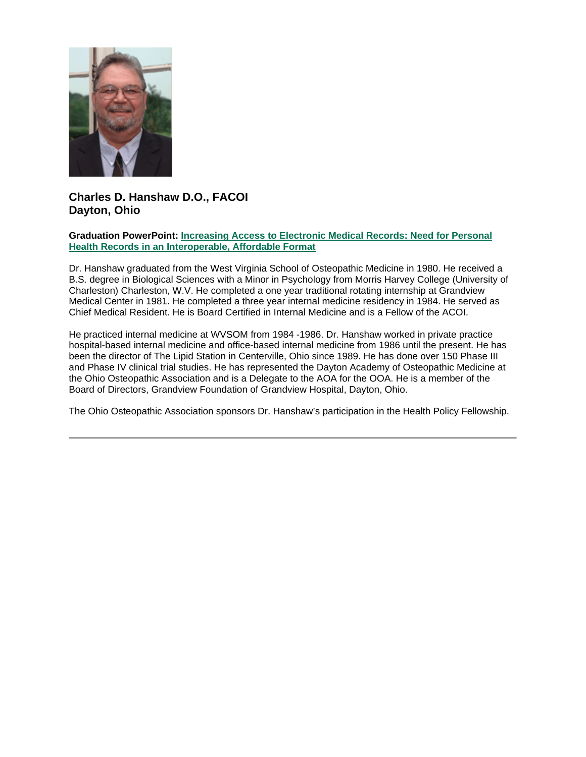

# **Charles D. Hanshaw D.O., FACOI Dayton, Ohio**

## **Graduation PowerPoint: [Increasing Access to Electronic Medical Records: Need for Personal](https://ohio.box.com/s/eci9abcse8r9ip2hbvin5g7704qmc6pp)  [Health Records in an Interoperable, Affordable Format](https://ohio.box.com/s/eci9abcse8r9ip2hbvin5g7704qmc6pp)**

Dr. Hanshaw graduated from the West Virginia School of Osteopathic Medicine in 1980. He received a B.S. degree in Biological Sciences with a Minor in Psychology from Morris Harvey College (University of Charleston) Charleston, W.V. He completed a one year traditional rotating internship at Grandview Medical Center in 1981. He completed a three year internal medicine residency in 1984. He served as Chief Medical Resident. He is Board Certified in Internal Medicine and is a Fellow of the ACOI.

He practiced internal medicine at WVSOM from 1984 -1986. Dr. Hanshaw worked in private practice hospital-based internal medicine and office-based internal medicine from 1986 until the present. He has been the director of The Lipid Station in Centerville, Ohio since 1989. He has done over 150 Phase III and Phase IV clinical trial studies. He has represented the Dayton Academy of Osteopathic Medicine at the Ohio Osteopathic Association and is a Delegate to the AOA for the OOA. He is a member of the Board of Directors, Grandview Foundation of Grandview Hospital, Dayton, Ohio.

The Ohio Osteopathic Association sponsors Dr. Hanshaw's participation in the Health Policy Fellowship.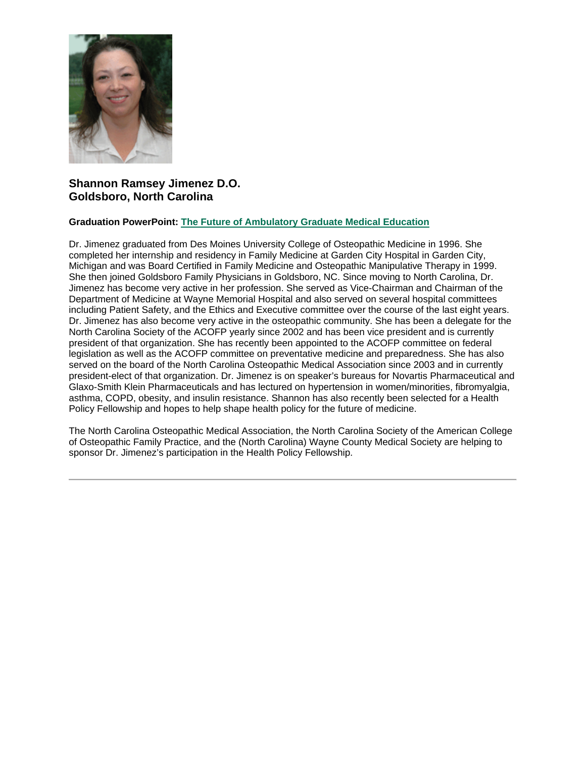

## **Shannon Ramsey Jimenez D.O. Goldsboro, North Carolina**

### **Graduation PowerPoint: [The Future of Ambulatory Graduate Medical Education](https://ohio.box.com/s/z5uz18laggieu65ejkvitecaskrgltm9)**

Dr. Jimenez graduated from Des Moines University College of Osteopathic Medicine in 1996. She completed her internship and residency in Family Medicine at Garden City Hospital in Garden City, Michigan and was Board Certified in Family Medicine and Osteopathic Manipulative Therapy in 1999. She then joined Goldsboro Family Physicians in Goldsboro, NC. Since moving to North Carolina, Dr. Jimenez has become very active in her profession. She served as Vice-Chairman and Chairman of the Department of Medicine at Wayne Memorial Hospital and also served on several hospital committees including Patient Safety, and the Ethics and Executive committee over the course of the last eight years. Dr. Jimenez has also become very active in the osteopathic community. She has been a delegate for the North Carolina Society of the ACOFP yearly since 2002 and has been vice president and is currently president of that organization. She has recently been appointed to the ACOFP committee on federal legislation as well as the ACOFP committee on preventative medicine and preparedness. She has also served on the board of the North Carolina Osteopathic Medical Association since 2003 and in currently president-elect of that organization. Dr. Jimenez is on speaker's bureaus for Novartis Pharmaceutical and Glaxo-Smith Klein Pharmaceuticals and has lectured on hypertension in women/minorities, fibromyalgia, asthma, COPD, obesity, and insulin resistance. Shannon has also recently been selected for a Health Policy Fellowship and hopes to help shape health policy for the future of medicine.

The North Carolina Osteopathic Medical Association, the North Carolina Society of the American College of Osteopathic Family Practice, and the (North Carolina) Wayne County Medical Society are helping to sponsor Dr. Jimenez's participation in the Health Policy Fellowship.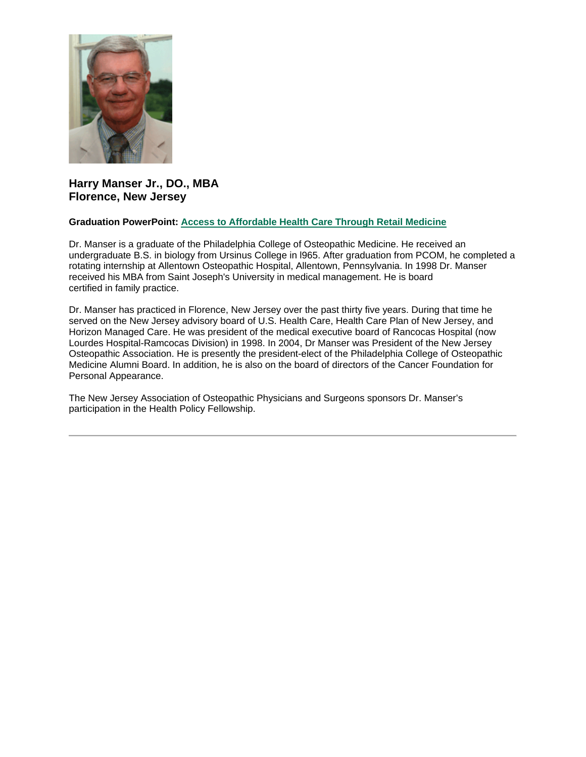

## **Harry Manser Jr., DO., MBA Florence, New Jersey**

### **Graduation PowerPoint: [Access to Affordable Health Care Through Retail Medicine](https://ohio.box.com/s/1yysq1ss0f945xukil3yx2q2jeo66uf8)**

Dr. Manser is a graduate of the Philadelphia College of Osteopathic Medicine. He received an undergraduate B.S. in biology from Ursinus College in l965. After graduation from PCOM, he completed a rotating internship at Allentown Osteopathic Hospital, Allentown, Pennsylvania. In 1998 Dr. Manser received his MBA from Saint Joseph's University in medical management. He is board certified in family practice.

Dr. Manser has practiced in Florence, New Jersey over the past thirty five years. During that time he served on the New Jersey advisory board of U.S. Health Care, Health Care Plan of New Jersey, and Horizon Managed Care. He was president of the medical executive board of Rancocas Hospital (now Lourdes Hospital-Ramcocas Division) in 1998. In 2004, Dr Manser was President of the New Jersey Osteopathic Association. He is presently the president-elect of the Philadelphia College of Osteopathic Medicine Alumni Board. In addition, he is also on the board of directors of the Cancer Foundation for Personal Appearance.

The New Jersey Association of Osteopathic Physicians and Surgeons sponsors Dr. Manser's participation in the Health Policy Fellowship.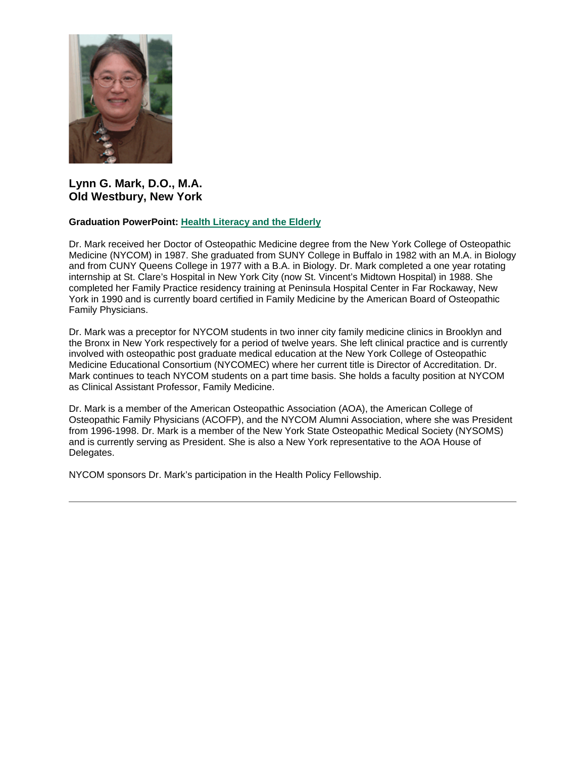

## **Lynn G. Mark, D.O., M.A. Old Westbury, New York**

### **Graduation PowerPoint: [Health Literacy and the Elderly](https://ohio.box.com/s/nx7qpoiglc5eoh3ivgrsan608doo4c5o)**

Dr. Mark received her Doctor of Osteopathic Medicine degree from the New York College of Osteopathic Medicine (NYCOM) in 1987. She graduated from SUNY College in Buffalo in 1982 with an M.A. in Biology and from CUNY Queens College in 1977 with a B.A. in Biology. Dr. Mark completed a one year rotating internship at St. Clare's Hospital in New York City (now St. Vincent's Midtown Hospital) in 1988. She completed her Family Practice residency training at Peninsula Hospital Center in Far Rockaway, New York in 1990 and is currently board certified in Family Medicine by the American Board of Osteopathic Family Physicians.

Dr. Mark was a preceptor for NYCOM students in two inner city family medicine clinics in Brooklyn and the Bronx in New York respectively for a period of twelve years. She left clinical practice and is currently involved with osteopathic post graduate medical education at the New York College of Osteopathic Medicine Educational Consortium (NYCOMEC) where her current title is Director of Accreditation. Dr. Mark continues to teach NYCOM students on a part time basis. She holds a faculty position at NYCOM as Clinical Assistant Professor, Family Medicine.

Dr. Mark is a member of the American Osteopathic Association (AOA), the American College of Osteopathic Family Physicians (ACOFP), and the NYCOM Alumni Association, where she was President from 1996-1998. Dr. Mark is a member of the New York State Osteopathic Medical Society (NYSOMS) and is currently serving as President. She is also a New York representative to the AOA House of Delegates.

NYCOM sponsors Dr. Mark's participation in the Health Policy Fellowship.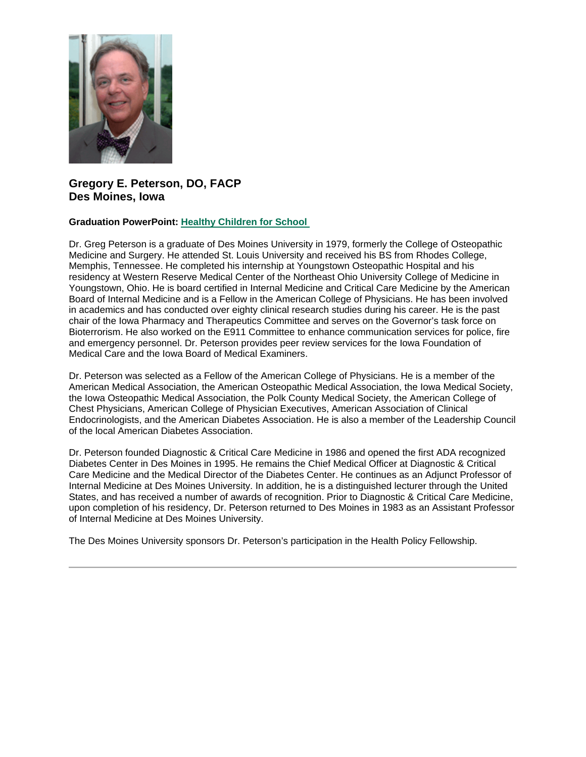

## **Gregory E. Peterson, DO, FACP Des Moines, Iowa**

### **Graduation PowerPoint: [Healthy Children for School](https://ohio.box.com/s/mj1vzw7eklqqt88le9s11a4arm05ci6k)**

Dr. Greg Peterson is a graduate of Des Moines University in 1979, formerly the College of Osteopathic Medicine and Surgery. He attended St. Louis University and received his BS from Rhodes College, Memphis, Tennessee. He completed his internship at Youngstown Osteopathic Hospital and his residency at Western Reserve Medical Center of the Northeast Ohio University College of Medicine in Youngstown, Ohio. He is board certified in Internal Medicine and Critical Care Medicine by the American Board of Internal Medicine and is a Fellow in the American College of Physicians. He has been involved in academics and has conducted over eighty clinical research studies during his career. He is the past chair of the Iowa Pharmacy and Therapeutics Committee and serves on the Governor's task force on Bioterrorism. He also worked on the E911 Committee to enhance communication services for police, fire and emergency personnel. Dr. Peterson provides peer review services for the Iowa Foundation of Medical Care and the Iowa Board of Medical Examiners.

Dr. Peterson was selected as a Fellow of the American College of Physicians. He is a member of the American Medical Association, the American Osteopathic Medical Association, the Iowa Medical Society, the Iowa Osteopathic Medical Association, the Polk County Medical Society, the American College of Chest Physicians, American College of Physician Executives, American Association of Clinical Endocrinologists, and the American Diabetes Association. He is also a member of the Leadership Council of the local American Diabetes Association.

Dr. Peterson founded Diagnostic & Critical Care Medicine in 1986 and opened the first ADA recognized Diabetes Center in Des Moines in 1995. He remains the Chief Medical Officer at Diagnostic & Critical Care Medicine and the Medical Director of the Diabetes Center. He continues as an Adjunct Professor of Internal Medicine at Des Moines University. In addition, he is a distinguished lecturer through the United States, and has received a number of awards of recognition. Prior to Diagnostic & Critical Care Medicine, upon completion of his residency, Dr. Peterson returned to Des Moines in 1983 as an Assistant Professor of Internal Medicine at Des Moines University.

The Des Moines University sponsors Dr. Peterson's participation in the Health Policy Fellowship.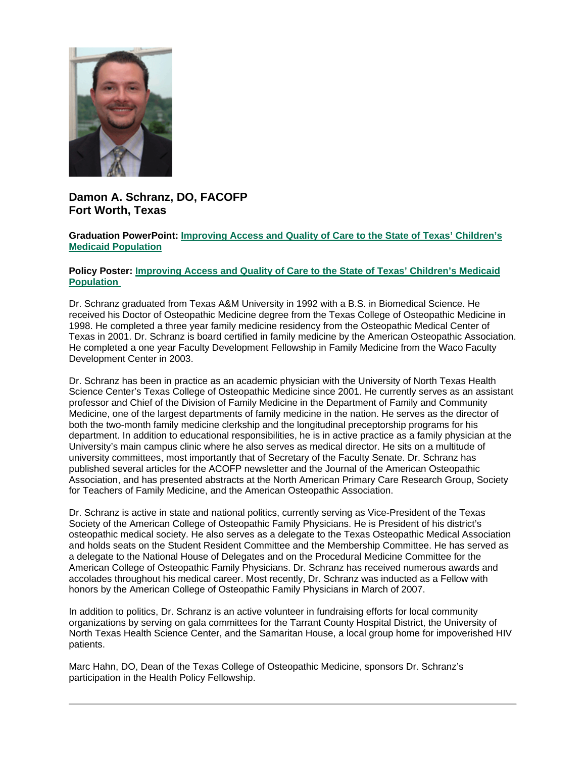

# **Damon A. Schranz, DO, FACOFP Fort Worth, Texas**

**Graduation PowerPoint: [Improving Access and Quality of Care to the State of Texas' Children's](https://ohio.box.com/s/es2yp7ba0tefvdqb3akwb2lmepqccww8)  [Medicaid Population](https://ohio.box.com/s/es2yp7ba0tefvdqb3akwb2lmepqccww8)**

### **Policy Poster: [Improving Access and Quality of Care to the State of Texas' Children's Medicaid](https://ohio.box.com/s/971fqhqkfstt66lepx6xwq4jub1hhgwl)  [Population](https://ohio.box.com/s/971fqhqkfstt66lepx6xwq4jub1hhgwl)**

Dr. Schranz graduated from Texas A&M University in 1992 with a B.S. in Biomedical Science. He received his Doctor of Osteopathic Medicine degree from the Texas College of Osteopathic Medicine in 1998. He completed a three year family medicine residency from the Osteopathic Medical Center of Texas in 2001. Dr. Schranz is board certified in family medicine by the American Osteopathic Association. He completed a one year Faculty Development Fellowship in Family Medicine from the Waco Faculty Development Center in 2003.

Dr. Schranz has been in practice as an academic physician with the University of North Texas Health Science Center's Texas College of Osteopathic Medicine since 2001. He currently serves as an assistant professor and Chief of the Division of Family Medicine in the Department of Family and Community Medicine, one of the largest departments of family medicine in the nation. He serves as the director of both the two-month family medicine clerkship and the longitudinal preceptorship programs for his department. In addition to educational responsibilities, he is in active practice as a family physician at the University's main campus clinic where he also serves as medical director. He sits on a multitude of university committees, most importantly that of Secretary of the Faculty Senate. Dr. Schranz has published several articles for the ACOFP newsletter and the Journal of the American Osteopathic Association, and has presented abstracts at the North American Primary Care Research Group, Society for Teachers of Family Medicine, and the American Osteopathic Association.

Dr. Schranz is active in state and national politics, currently serving as Vice-President of the Texas Society of the American College of Osteopathic Family Physicians. He is President of his district's osteopathic medical society. He also serves as a delegate to the Texas Osteopathic Medical Association and holds seats on the Student Resident Committee and the Membership Committee. He has served as a delegate to the National House of Delegates and on the Procedural Medicine Committee for the American College of Osteopathic Family Physicians. Dr. Schranz has received numerous awards and accolades throughout his medical career. Most recently, Dr. Schranz was inducted as a Fellow with honors by the American College of Osteopathic Family Physicians in March of 2007.

In addition to politics, Dr. Schranz is an active volunteer in fundraising efforts for local community organizations by serving on gala committees for the Tarrant County Hospital District, the University of North Texas Health Science Center, and the Samaritan House, a local group home for impoverished HIV patients.

Marc Hahn, DO, Dean of the Texas College of Osteopathic Medicine, sponsors Dr. Schranz's participation in the Health Policy Fellowship.